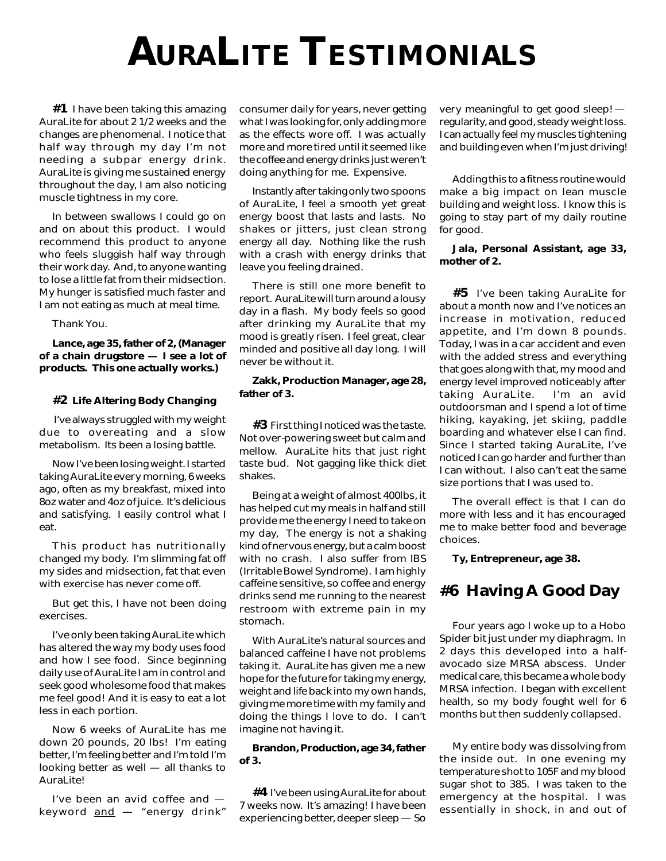# **AURALITE TESTIMONIALS**

**#1** I have been taking this amazing AuraLite for about 2 1/2 weeks and the changes are phenomenal. I notice that half way through my day I'm not needing a subpar energy drink. AuraLite is giving me sustained energy throughout the day, I am also noticing muscle tightness in my core.

In between swallows I could go on and on about this product. I would recommend this product to anyone who feels sluggish half way through their work day. And, to anyone wanting to lose a little fat from their midsection. My hunger is satisfied much faster and I am not eating as much at meal time.

Thank You.

**Lance, age 35, father of 2, (Manager of a chain drugstore — I see a lot of products. This one actually works.)**

#### **#2 Life Altering Body Changing**

 I've always struggled with my weight due to overeating and a slow metabolism. Its been a losing battle.

Now I've been losing weight. I started taking AuraLite every morning, 6 weeks ago, often as my breakfast, mixed into 8oz water and 4oz of juice. It's delicious and satisfying. I easily control what I eat.

This product has nutritionally changed my body. I'm slimming fat off my sides and midsection, fat that even with exercise has never come off.

But get this, I have not been doing exercises.

I've only been taking AuraLite which has altered the way my body uses food and how I see food. Since beginning daily use of AuraLite I am in control and seek good wholesome food that makes me feel good! And it is easy to eat a lot less in each portion.

Now 6 weeks of AuraLite has me down 20 pounds, 20 lbs! I'm eating better, I'm feeling better and I'm told I'm looking better as well — all thanks to AuraLite!

I've been an avid coffee and keyword and — "energy drink" consumer daily for years, never getting what I was looking for, only adding more as the effects wore off. I was actually more and more tired until it seemed like the coffee and energy drinks just weren't doing anything for me. Expensive.

Instantly after taking only two spoons of AuraLite, I feel a smooth yet great energy boost that lasts and lasts. No shakes or jitters, just clean strong energy all day. Nothing like the rush with a crash with energy drinks that leave you feeling drained.

There is still one more benefit to report. AuraLite will turn around a lousy day in a flash. My body feels so good after drinking my AuraLite that my mood is greatly risen. I feel great, clear minded and positive all day long. I will never be without it.

### **Zakk, Production Manager, age 28, father of 3.**

**#3** First thing I noticed was the taste. Not over-powering sweet but calm and mellow. AuraLite hits that just right taste bud. Not gagging like thick diet shakes.

Being at a weight of almost 400lbs, it has helped cut my meals in half and still provide me the energy I need to take on my day, The energy is not a shaking kind of nervous energy, but a calm boost with no crash. I also suffer from IBS (Irritable Bowel Syndrome). I am highly caffeine sensitive, so coffee and energy drinks send me running to the nearest restroom with extreme pain in my stomach.

With AuraLite's natural sources and balanced caffeine I have not problems taking it. AuraLite has given me a new hope for the future for taking my energy, weight and life back into my own hands, giving me more time with my family and doing the things I love to do. I can't imagine not having it.

#### **Brandon, Production, age 34, father of 3.**

**#4** I've been using AuraLite for about 7 weeks now. It's amazing! I have been experiencing better, deeper sleep — So very meaningful to get good sleep! regularity, and good, steady weight loss. I can actually feel my muscles tightening and building even when I'm just driving!

Adding this to a fitness routine would make a big impact on lean muscle building and weight loss. I know this is going to stay part of my daily routine for good.

#### **Jala, Personal Assistant, age 33, mother of 2.**

**#5** I've been taking AuraLite for about a month now and I've notices an increase in motivation, reduced appetite, and I'm down 8 pounds. Today, I was in a car accident and even with the added stress and everything that goes along with that, my mood and energy level improved noticeably after taking AuraLite. I'm an avid outdoorsman and I spend a lot of time hiking, kayaking, jet skiing, paddle boarding and whatever else I can find. Since I started taking AuraLite, I've noticed I can go harder and further than I can without. I also can't eat the same size portions that I was used to.

The overall effect is that I can do more with less and it has encouraged me to make better food and beverage choices.

**Ty, Entrepreneur, age 38.**

## **#6 Having A Good Day**

Four years ago I woke up to a Hobo Spider bit just under my diaphragm. In 2 days this developed into a halfavocado size MRSA abscess. Under medical care, this became a whole body MRSA infection. I began with excellent health, so my body fought well for 6 months but then suddenly collapsed.

My entire body was dissolving from the inside out. In one evening my temperature shot to 105F and my blood sugar shot to 385. I was taken to the emergency at the hospital. I was essentially in shock, in and out of